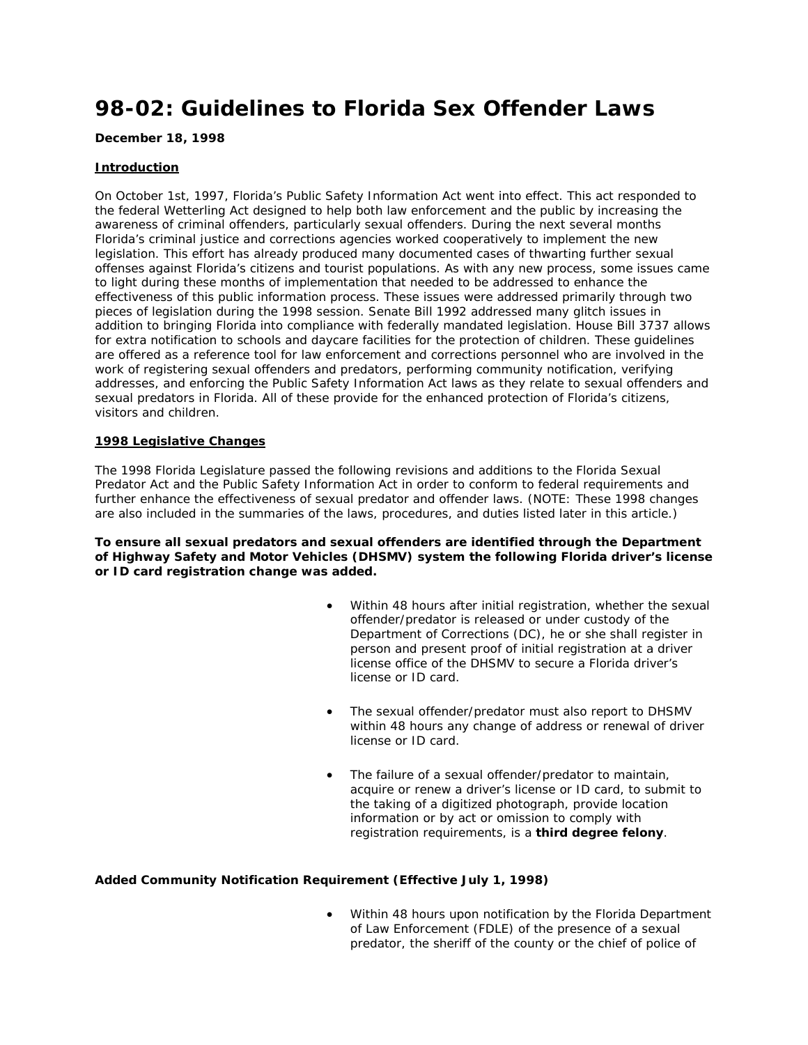# **98-02: Guidelines to Florida Sex Offender Laws**

## **December 18, 1998**

# **Introduction**

On October 1st, 1997, Florida's Public Safety Information Act went into effect. This act responded to the federal Wetterling Act designed to help both law enforcement and the public by increasing the awareness of criminal offenders, particularly sexual offenders. During the next several months Florida's criminal justice and corrections agencies worked cooperatively to implement the new legislation. This effort has already produced many documented cases of thwarting further sexual offenses against Florida's citizens and tourist populations. As with any new process, some issues came to light during these months of implementation that needed to be addressed to enhance the effectiveness of this public information process. These issues were addressed primarily through two pieces of legislation during the 1998 session. Senate Bill 1992 addressed many glitch issues in addition to bringing Florida into compliance with federally mandated legislation. House Bill 3737 allows for extra notification to schools and daycare facilities for the protection of children. These guidelines are offered as a reference tool for law enforcement and corrections personnel who are involved in the work of registering sexual offenders and predators, performing community notification, verifying addresses, and enforcing the Public Safety Information Act laws as they relate to sexual offenders and sexual predators in Florida. All of these provide for the enhanced protection of Florida's citizens, visitors and children.

## **1998 Legislative Changes**

The 1998 Florida Legislature passed the following revisions and additions to the Florida Sexual Predator Act and the Public Safety Information Act in order to conform to federal requirements and further enhance the effectiveness of sexual predator and offender laws. (NOTE: These 1998 changes are also included in the summaries of the laws, procedures, and duties listed later in this article.)

## **To ensure all sexual predators and sexual offenders are identified through the Department of Highway Safety and Motor Vehicles (DHSMV) system the following Florida driver's license or ID card registration change was added.**

- Within 48 hours after initial registration, whether the sexual offender/predator is released or under custody of the Department of Corrections (DC), he or she shall register in person and present proof of initial registration at a driver license office of the DHSMV to secure a Florida driver's license or ID card.
- The sexual offender/predator must also report to DHSMV within 48 hours any change of address or renewal of driver license or ID card.
- The failure of a sexual offender/predator to maintain, acquire or renew a driver's license or ID card, to submit to the taking of a digitized photograph, provide location information or by act or omission to comply with registration requirements, is a **third degree felony**.

# **Added Community Notification Requirement (Effective July 1, 1998)**

• Within 48 hours upon notification by the Florida Department of Law Enforcement (FDLE) of the presence of a sexual predator, the sheriff of the county or the chief of police of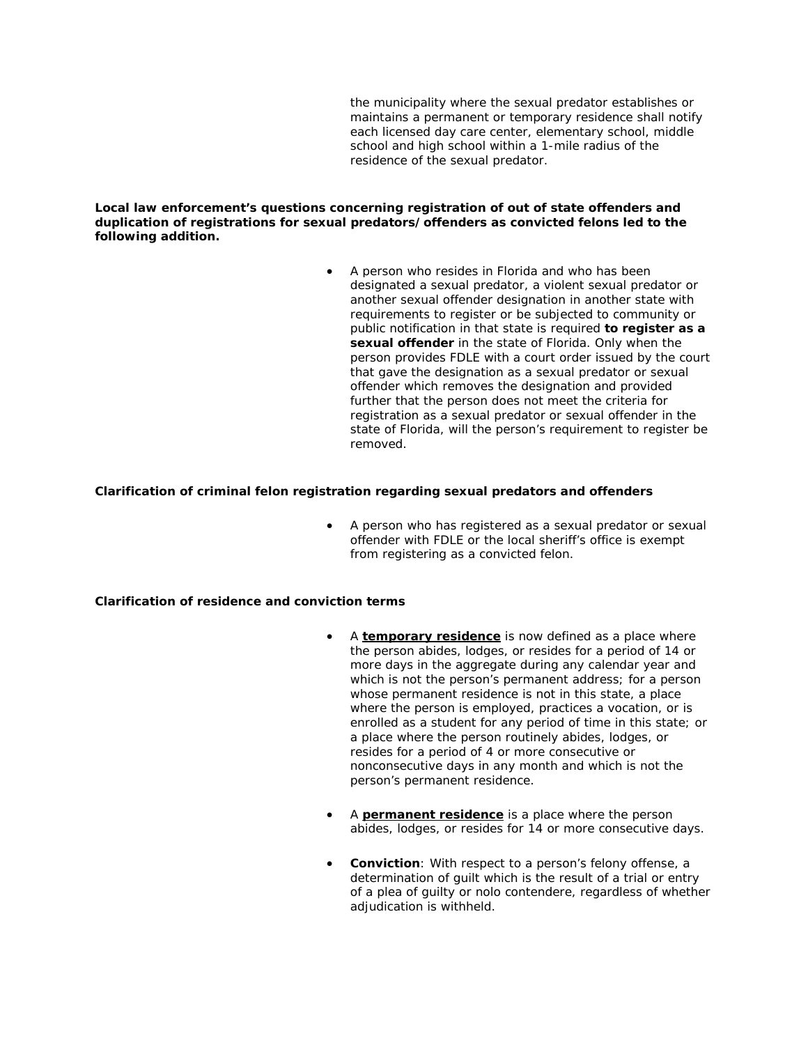the municipality where the sexual predator establishes or maintains a permanent or temporary residence shall notify each licensed day care center, elementary school, middle school and high school within a 1-mile radius of the residence of the sexual predator.

**Local law enforcement's questions concerning registration of out of state offenders and duplication of registrations for sexual predators/offenders as convicted felons led to the following addition.**

> • A person who resides in Florida and who has been designated a sexual predator, a violent sexual predator or another sexual offender designation in another state with requirements to register or be subjected to community or public notification in that state is required **to register as a sexual offender** in the state of Florida. Only when the person provides FDLE with a court order issued by the court that gave the designation as a sexual predator or sexual offender which removes the designation and provided further that the person does not meet the criteria for registration as a sexual predator or sexual offender in the state of Florida, will the person's requirement to register be removed.

#### **Clarification of criminal felon registration regarding sexual predators and offenders**

• A person who has registered as a sexual predator or sexual offender with FDLE or the local sheriff's office is exempt from registering as a convicted felon.

## **Clarification of residence and conviction terms**

- A **temporary residence** is now defined as a place where the person abides, lodges, or resides for a period of 14 or more days in the aggregate during any calendar year and which is not the person's permanent address; for a person whose permanent residence is not in this state, a place where the person is employed, practices a vocation, or is enrolled as a student for any period of time in this state; or a place where the person routinely abides, lodges, or resides for a period of 4 or more consecutive or nonconsecutive days in any month and which is not the person's permanent residence.
- A **permanent residence** is a place where the person abides, lodges, or resides for 14 or more consecutive days.
- **Conviction**: With respect to a person's felony offense, a determination of guilt which is the result of a trial or entry of a plea of guilty or nolo contendere, regardless of whether adjudication is withheld.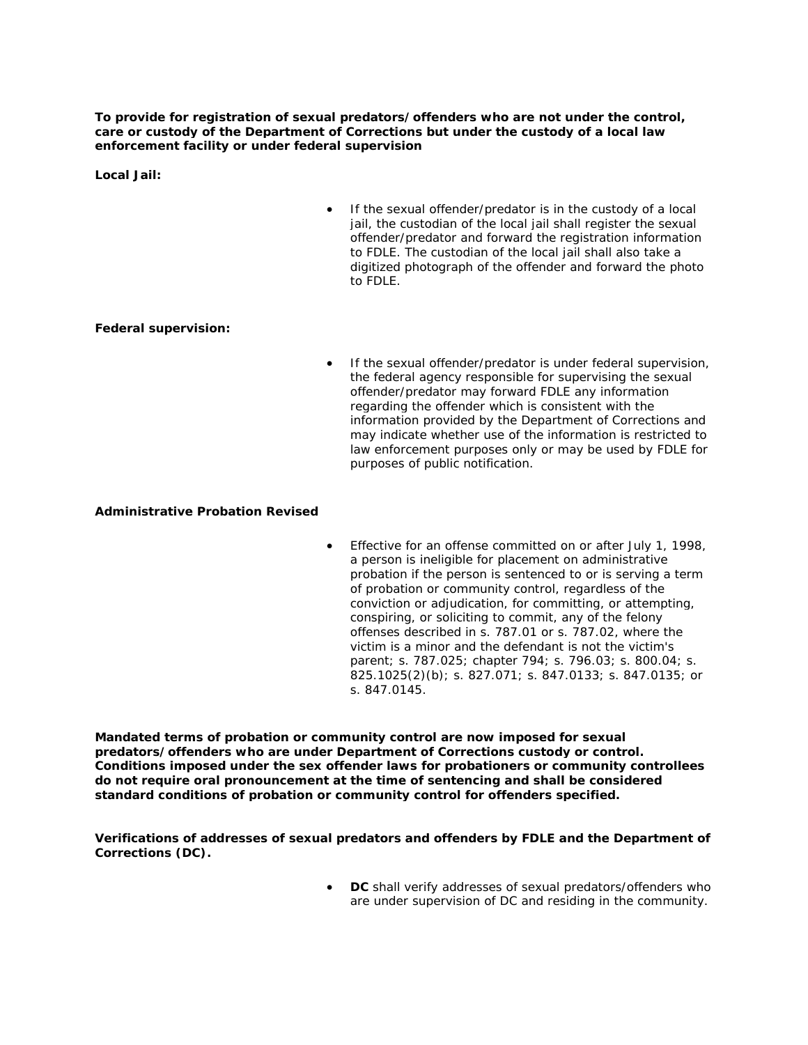**To provide for registration of sexual predators/offenders who are not under the control, care or custody of the Department of Corrections but under the custody of a local law enforcement facility or under federal supervision** 

**Local Jail:**

If the sexual offender/predator is in the custody of a local jail, the custodian of the local jail shall register the sexual offender/predator and forward the registration information to FDLE. The custodian of the local jail shall also take a digitized photograph of the offender and forward the photo to FDLE.

#### **Federal supervision:**

If the sexual offender/predator is under federal supervision, the federal agency responsible for supervising the sexual offender/predator may forward FDLE any information regarding the offender which is consistent with the information provided by the Department of Corrections and may indicate whether use of the information is restricted to law enforcement purposes only or may be used by FDLE for purposes of public notification.

#### **Administrative Probation Revised**

• Effective for an offense committed on or after July 1, 1998, a person is ineligible for placement on administrative probation if the person is sentenced to or is serving a term of probation or community control, regardless of the conviction or adjudication, for committing, or attempting, conspiring, or soliciting to commit, any of the felony offenses described in s. 787.01 or s. 787.02, where the victim is a minor and the defendant is not the victim's parent; s. 787.025; chapter 794; s. 796.03; s. 800.04; s. 825.1025(2)(b); s. 827.071; s. 847.0133; s. 847.0135; or s. 847.0145.

**Mandated terms of probation or community control are now imposed for sexual predators/offenders who are under Department of Corrections custody or control. Conditions imposed under the sex offender laws for probationers or community controllees do not require oral pronouncement at the time of sentencing and shall be considered standard conditions of probation or community control for offenders specified.**

**Verifications of addresses of sexual predators and offenders by FDLE and the Department of Corrections (DC).** 

> • **DC** shall verify addresses of sexual predators/offenders who are under supervision of DC and residing in the community.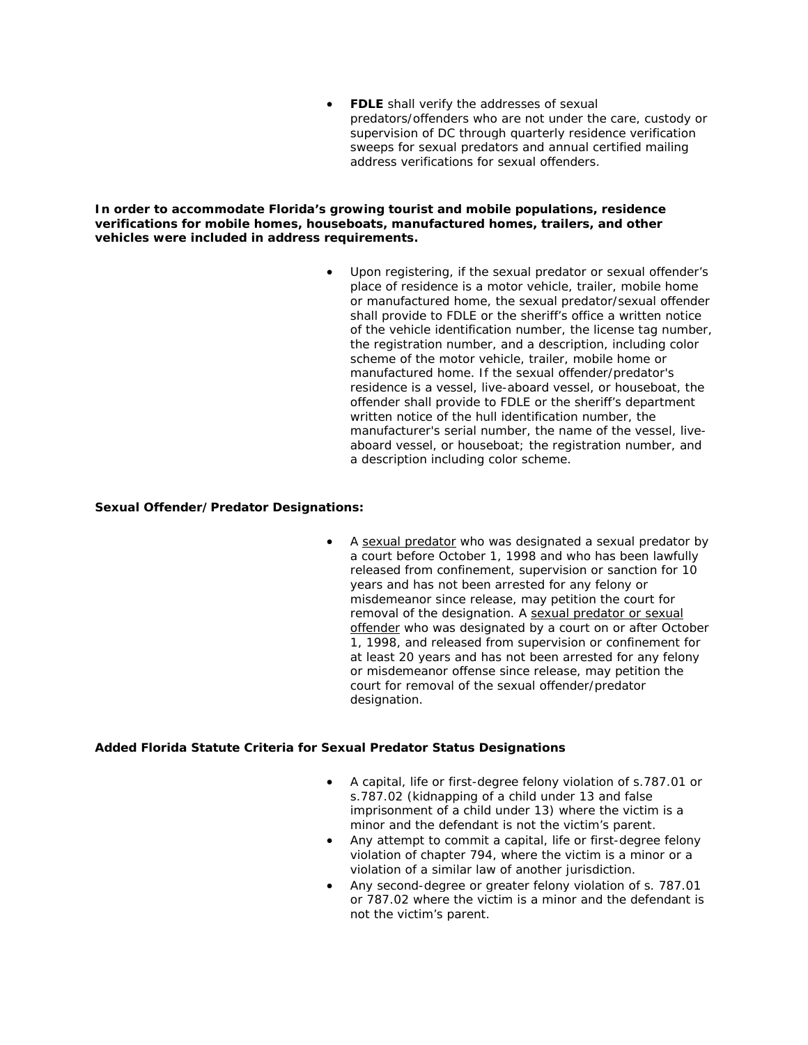• **FDLE** shall verify the addresses of sexual predators/offenders who are not under the care, custody or supervision of DC through quarterly residence verification sweeps for sexual predators and annual certified mailing address verifications for sexual offenders.

**In order to accommodate Florida's growing tourist and mobile populations, residence verifications for mobile homes, houseboats, manufactured homes, trailers, and other vehicles were included in address requirements.**

> • Upon registering, if the sexual predator or sexual offender's place of residence is a motor vehicle, trailer, mobile home or manufactured home, the sexual predator/sexual offender shall provide to FDLE or the sheriff's office a written notice of the vehicle identification number, the license tag number, the registration number, and a description, including color scheme of the motor vehicle, trailer, mobile home or manufactured home. If the sexual offender/predator's residence is a vessel, live-aboard vessel, or houseboat, the offender shall provide to FDLE or the sheriff's department written notice of the hull identification number, the manufacturer's serial number, the name of the vessel, liveaboard vessel, or houseboat; the registration number, and a description including color scheme.

## **Sexual Offender/Predator Designations:**

A sexual predator who was designated a sexual predator by a court before October 1, 1998 and who has been lawfully released from confinement, supervision or sanction for 10 years and has not been arrested for any felony or misdemeanor since release, may petition the court for removal of the designation. A sexual predator or sexual offender who was designated by a court on or after October 1, 1998, and released from supervision or confinement for at least 20 years and has not been arrested for any felony or misdemeanor offense since release, may petition the court for removal of the sexual offender/predator designation.

# **Added Florida Statute Criteria for Sexual Predator Status Designations**

- A capital, life or first-degree felony violation of s.787.01 or s.787.02 (kidnapping of a child under 13 and false imprisonment of a child under 13) where the victim is a minor and the defendant is not the victim's parent.
- Any attempt to commit a capital, life or first-degree felony violation of chapter 794, where the victim is a minor or a violation of a similar law of another jurisdiction.
- Any second-degree or greater felony violation of s. 787.01 or 787.02 where the victim is a minor and the defendant is not the victim's parent.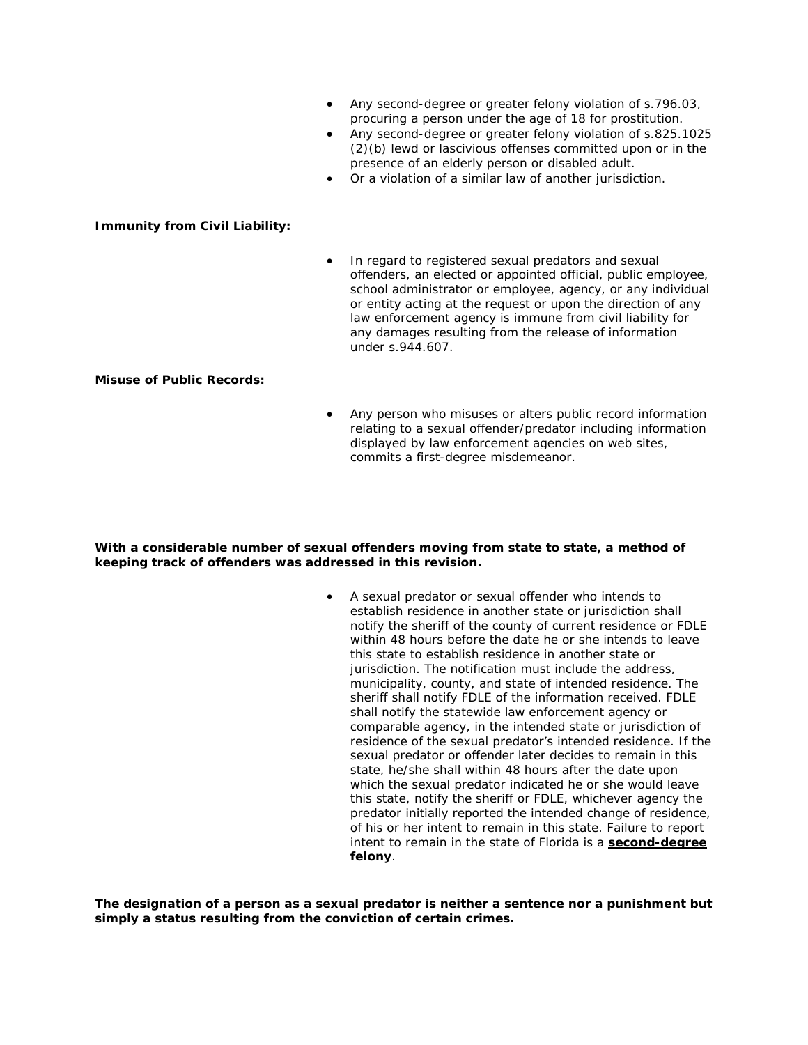- Any second-degree or greater felony violation of s.796.03, procuring a person under the age of 18 for prostitution.
- Any second-degree or greater felony violation of s.825.1025 (2)(b) lewd or lascivious offenses committed upon or in the presence of an elderly person or disabled adult.
- Or a violation of a similar law of another jurisdiction.

## **Immunity from Civil Liability:**

In regard to registered sexual predators and sexual offenders, an elected or appointed official, public employee, school administrator or employee, agency, or any individual or entity acting at the request or upon the direction of any law enforcement agency is immune from civil liability for any damages resulting from the release of information under s.944.607.

#### **Misuse of Public Records:**

Any person who misuses or alters public record information relating to a sexual offender/predator including information displayed by law enforcement agencies on web sites, commits a first-degree misdemeanor.

## **With a considerable number of sexual offenders moving from state to state, a method of keeping track of offenders was addressed in this revision.**

• A sexual predator or sexual offender who intends to establish residence in another state or jurisdiction shall notify the sheriff of the county of current residence or FDLE within 48 hours before the date he or she intends to leave this state to establish residence in another state or jurisdiction. The notification must include the address, municipality, county, and state of intended residence. The sheriff shall notify FDLE of the information received. FDLE shall notify the statewide law enforcement agency or comparable agency, in the intended state or jurisdiction of residence of the sexual predator's intended residence. If the sexual predator or offender later decides to remain in this state, he/she shall within 48 hours after the date upon which the sexual predator indicated he or she would leave this state, notify the sheriff or FDLE, whichever agency the predator initially reported the intended change of residence, of his or her intent to remain in this state. Failure to report intent to remain in the state of Florida is a **second-degree felony**.

**The designation of a person as a sexual predator is neither a sentence nor a punishment but simply a status resulting from the conviction of certain crimes.**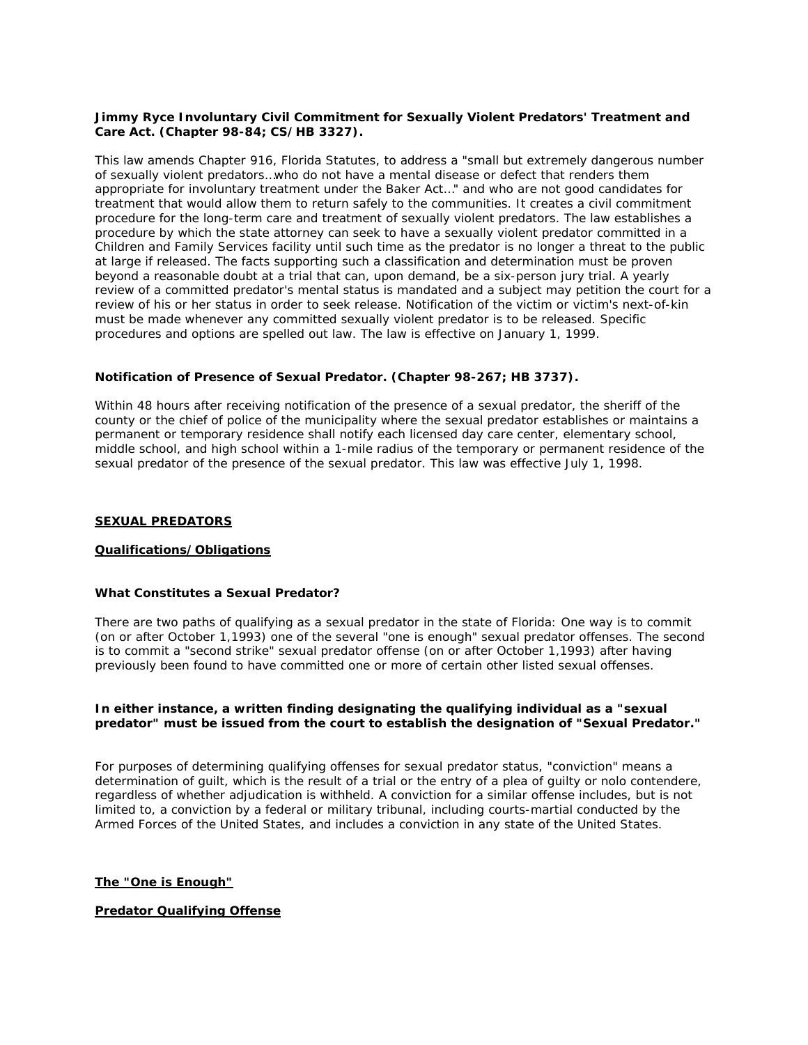#### **Jimmy Ryce Involuntary Civil Commitment for Sexually Violent Predators' Treatment and Care Act. (Chapter 98-84; CS/HB 3327).**

This law amends Chapter 916, Florida Statutes, to address a "small but extremely dangerous number of sexually violent predators…who do not have a mental disease or defect that renders them appropriate for involuntary treatment under the Baker Act…" and who are not good candidates for treatment that would allow them to return safely to the communities. It creates a civil commitment procedure for the long-term care and treatment of sexually violent predators. The law establishes a procedure by which the state attorney can seek to have a sexually violent predator committed in a Children and Family Services facility until such time as the predator is no longer a threat to the public at large if released. The facts supporting such a classification and determination must be proven beyond a reasonable doubt at a trial that can, upon demand, be a six-person jury trial. A yearly review of a committed predator's mental status is mandated and a subject may petition the court for a review of his or her status in order to seek release. Notification of the victim or victim's next-of-kin must be made whenever any committed sexually violent predator is to be released. Specific procedures and options are spelled out law. The law is effective on January 1, 1999.

#### **Notification of Presence of Sexual Predator. (Chapter 98-267; HB 3737).**

Within 48 hours after receiving notification of the presence of a sexual predator, the sheriff of the county or the chief of police of the municipality where the sexual predator establishes or maintains a permanent or temporary residence shall notify each licensed day care center, elementary school, middle school, and high school within a 1-mile radius of the temporary or permanent residence of the sexual predator of the presence of the sexual predator. This law was effective July 1, 1998.

## **SEXUAL PREDATORS**

#### **Qualifications/Obligations**

#### **What Constitutes a Sexual Predator?**

There are two paths of qualifying as a sexual predator in the state of Florida: One way is to commit (on or after October 1,1993) one of the several "one is enough" sexual predator offenses. The second is to commit a "second strike" sexual predator offense (on or after October 1,1993) after having previously been found to have committed one or more of certain other listed sexual offenses.

#### **In either instance, a written finding designating the qualifying individual as a "sexual predator" must be issued from the court to establish the designation of "Sexual Predator."**

For purposes of determining qualifying offenses for sexual predator status, "conviction" means a determination of guilt, which is the result of a trial or the entry of a plea of guilty or nolo contendere, regardless of whether adjudication is withheld. A conviction for a similar offense includes, but is not limited to, a conviction by a federal or military tribunal, including courts-martial conducted by the Armed Forces of the United States, and includes a conviction in any state of the United States.

**The "One is Enough"**

#### **Predator Qualifying Offense**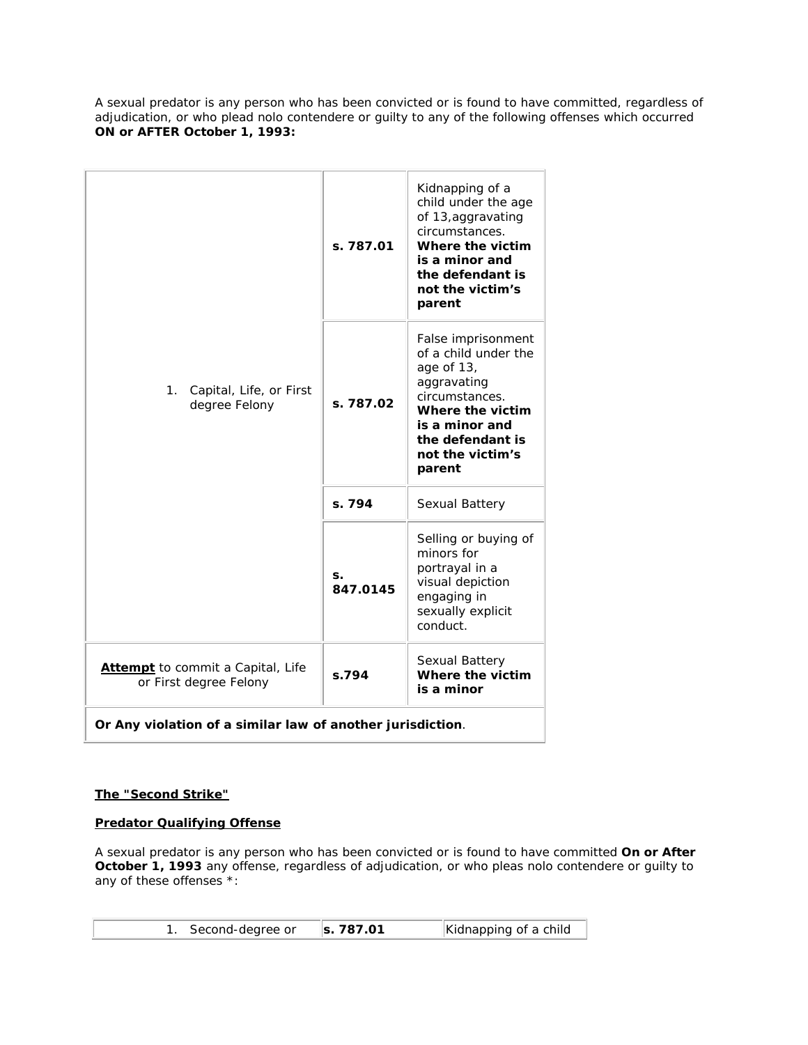A sexual predator is any person who has been convicted or is found to have committed, regardless of adjudication, or who plead nolo contendere or guilty to any of the following offenses which occurred **ON or AFTER October 1, 1993:**

|                                                                    | s. 787.01      | Kidnapping of a<br>child under the age<br>of 13, aggravating<br>circumstances.<br>Where the victim<br>is a minor and<br>the defendant is<br>not the victim's<br>parent            |
|--------------------------------------------------------------------|----------------|-----------------------------------------------------------------------------------------------------------------------------------------------------------------------------------|
| Capital, Life, or First<br>1.<br>degree Felony                     | s. 787.02      | False imprisonment<br>of a child under the<br>age of 13,<br>aggravating<br>circumstances.<br>Where the victim<br>is a minor and<br>the defendant is<br>not the victim's<br>parent |
|                                                                    | s. 794         | Sexual Battery                                                                                                                                                                    |
|                                                                    | S.<br>847.0145 | Selling or buying of<br>minors for<br>portrayal in a<br>visual depiction<br>engaging in<br>sexually explicit<br>conduct.                                                          |
| <b>Attempt</b> to commit a Capital, Life<br>or First degree Felony | s.794          | Sexual Battery<br>Where the victim<br>is a minor                                                                                                                                  |
| Or Any violation of a similar law of another jurisdiction.         |                |                                                                                                                                                                                   |

# **The "Second Strike"**

## **Predator Qualifying Offense**

A sexual predator is any person who has been convicted or is found to have committed **On or After October 1, 1993** any offense, regardless of adjudication, or who pleas nolo contendere or guilty to any of these offenses \*:

| 1. Second-degree or | $\vert$ s. 787.01 | Kidnapping of a child |
|---------------------|-------------------|-----------------------|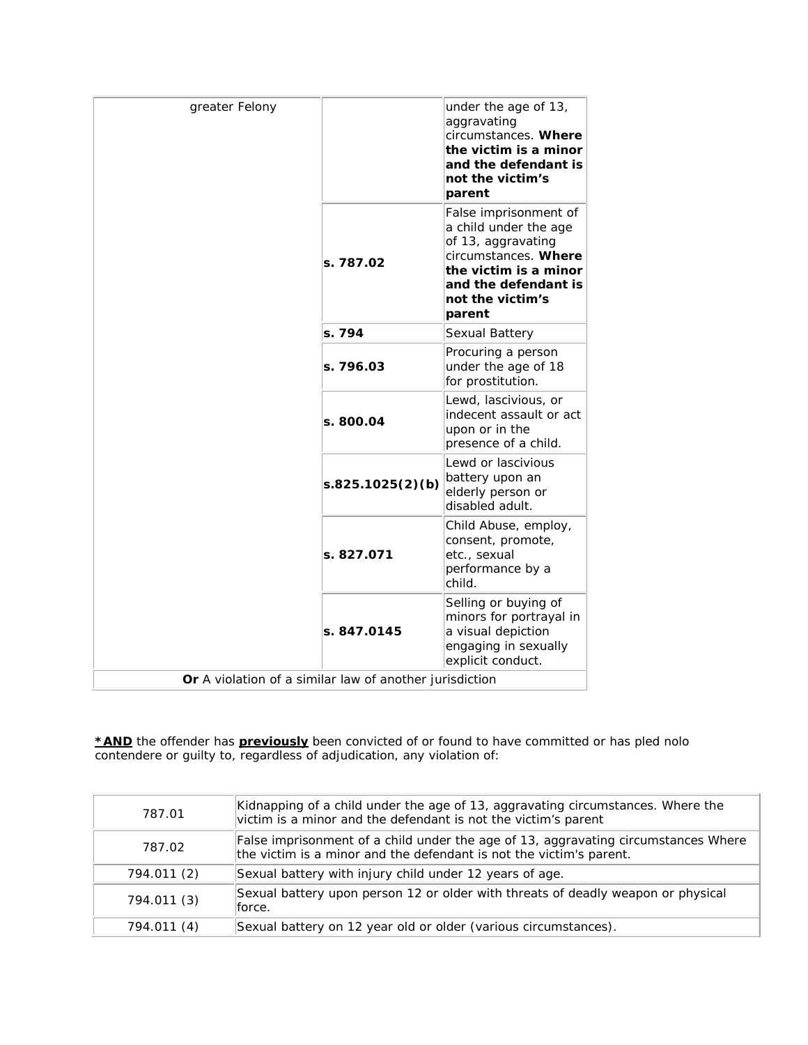| greater Felony                                          |                  | under the age of 13,<br>aggravating<br>circumstances. Where<br>the victim is a minor<br>and the defendant is<br>not the victim's<br>parent                                  |
|---------------------------------------------------------|------------------|-----------------------------------------------------------------------------------------------------------------------------------------------------------------------------|
|                                                         | s. 787.02        | False imprisonment of<br>a child under the age<br>of 13, aggravating<br>circumstances. Where<br>the victim is a minor<br>and the defendant is<br>not the victim's<br>parent |
|                                                         | s. 794           | Sexual Battery                                                                                                                                                              |
|                                                         | s. 796.03        | Procuring a person<br>under the age of 18<br>for prostitution.                                                                                                              |
|                                                         | s. 800.04        | Lewd, lascivious, or<br>indecent assault or act<br>upon or in the<br>presence of a child.                                                                                   |
|                                                         | s.825.1025(2)(b) | Lewd or lascivious<br>battery upon an<br>elderly person or<br>disabled adult.                                                                                               |
|                                                         | s. 827.071       | Child Abuse, employ,<br>consent, promote,<br>etc., sexual<br>performance by a<br>child.                                                                                     |
|                                                         | s. 847.0145      | Selling or buying of<br>minors for portrayal in<br>a visual depiction<br>engaging in sexually<br>explicit conduct.                                                          |
| Or A violation of a similar law of another jurisdiction |                  |                                                                                                                                                                             |

*\*AND* the offender has *previously* been convicted of or found to have committed or has pled nolo contendere or guilty to, regardless of adjudication, any violation of:

| 787.01      | Kidnapping of a child under the age of 13, aggravating circumstances. Where the<br>victim is a minor and the defendant is not the victim's parent         |
|-------------|-----------------------------------------------------------------------------------------------------------------------------------------------------------|
| 787.02      | False imprisonment of a child under the age of 13, aggravating circumstances Where<br>the victim is a minor and the defendant is not the victim's parent. |
| 794.011 (2) | Sexual battery with injury child under 12 years of age.                                                                                                   |
| 794.011 (3) | Sexual battery upon person 12 or older with threats of deadly weapon or physical<br>lforce.                                                               |
| 794.011 (4) | Sexual battery on 12 year old or older (various circumstances).                                                                                           |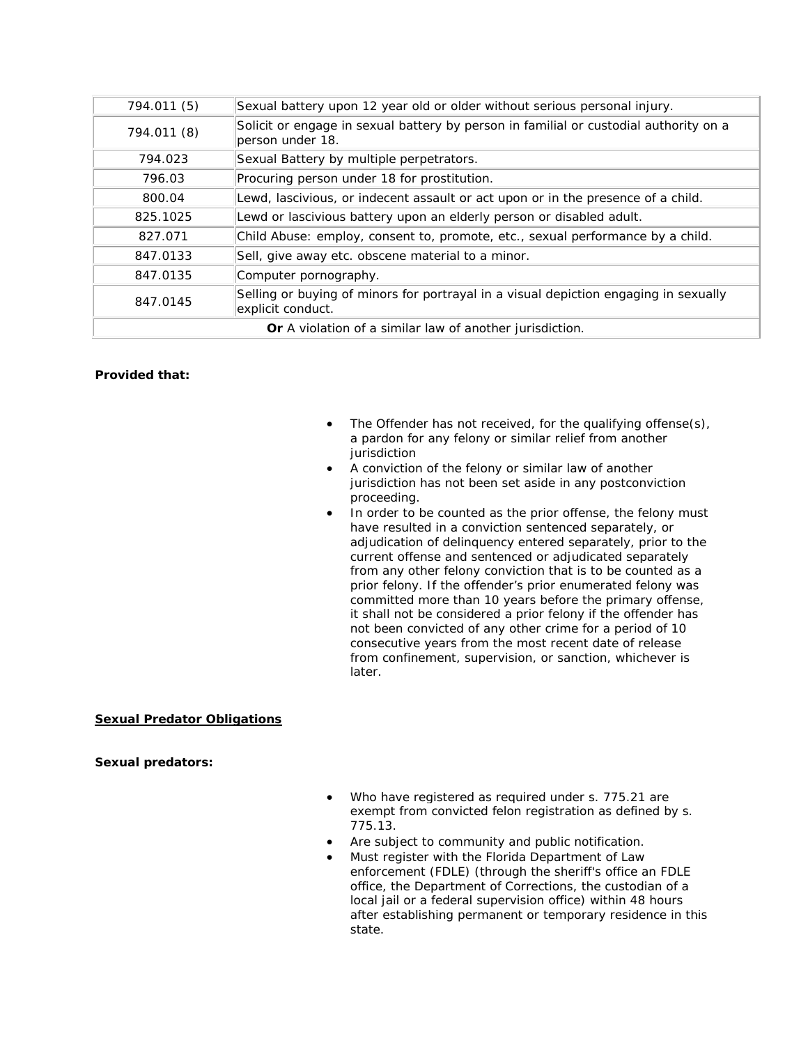| 794.011 (5)                                                     | Sexual battery upon 12 year old or older without serious personal injury.                                 |  |
|-----------------------------------------------------------------|-----------------------------------------------------------------------------------------------------------|--|
| 794.011 (8)                                                     | Solicit or engage in sexual battery by person in familial or custodial authority on a<br>person under 18. |  |
| 794.023                                                         | Sexual Battery by multiple perpetrators.                                                                  |  |
| 796.03                                                          | Procuring person under 18 for prostitution.                                                               |  |
| 800.04                                                          | Lewd, lascivious, or indecent assault or act upon or in the presence of a child.                          |  |
| 825.1025                                                        | Lewd or lascivious battery upon an elderly person or disabled adult.                                      |  |
| 827.071                                                         | Child Abuse: employ, consent to, promote, etc., sexual performance by a child.                            |  |
| 847.0133                                                        | Sell, give away etc. obscene material to a minor.                                                         |  |
| 847.0135                                                        | Computer pornography.                                                                                     |  |
| 847.0145                                                        | Selling or buying of minors for portrayal in a visual depiction engaging in sexually<br>explicit conduct. |  |
| <b>Or</b> A violation of a similar law of another jurisdiction. |                                                                                                           |  |

## **Provided that:**

- The Offender has not received, for the qualifying offense(s), a pardon for any felony or similar relief from another iurisdiction
- A conviction of the felony or similar law of another jurisdiction has not been set aside in any postconviction proceeding.
- In order to be counted as the prior offense, the felony must have resulted in a conviction sentenced separately, or adjudication of delinquency entered separately, prior to the current offense and sentenced or adjudicated separately from any other felony conviction that is to be counted as a prior felony. If the offender's prior enumerated felony was committed more than 10 years before the primary offense, it shall not be considered a prior felony if the offender has not been convicted of any other crime for a period of 10 consecutive years from the most recent date of release from confinement, supervision, or sanction, whichever is later.

# **Sexual Predator Obligations**

**Sexual predators:**

- Who have registered as required under s. 775.21 are exempt from convicted felon registration as defined by s. 775.13.
- Are subject to community and public notification.
- Must register with the Florida Department of Law enforcement (FDLE) (through the sheriff's office an FDLE office, the Department of Corrections, the custodian of a local jail or a federal supervision office) within 48 hours after establishing permanent or temporary residence in this state.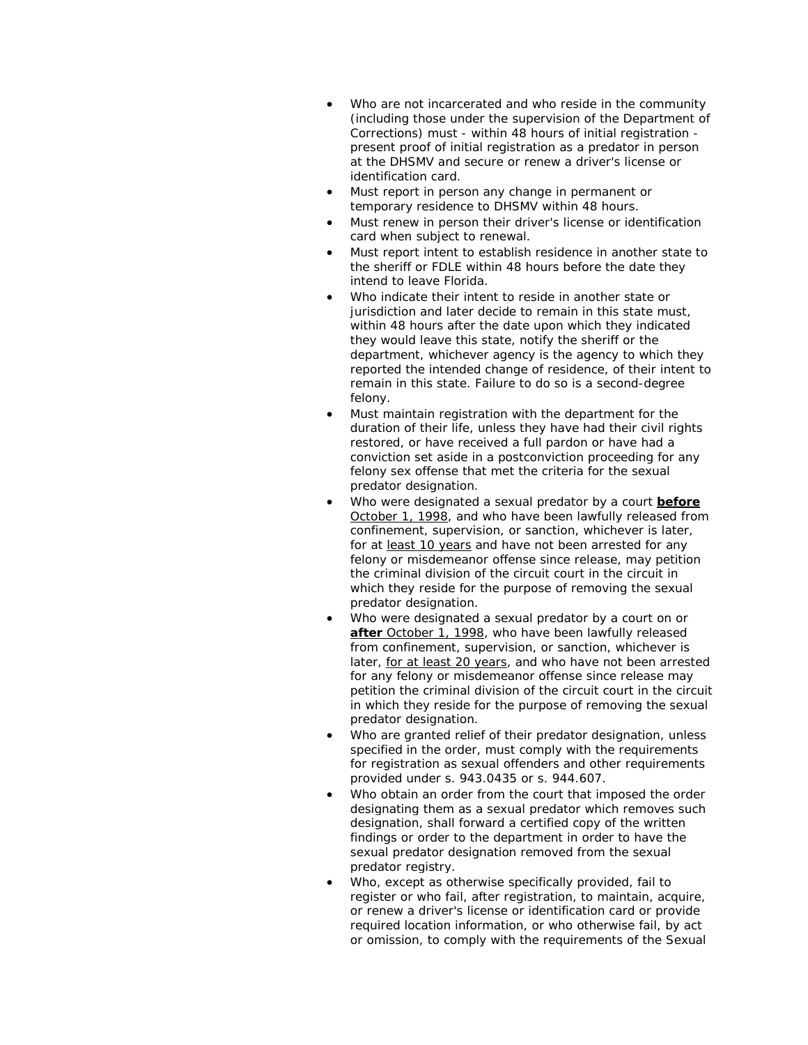- Who are not incarcerated and who reside in the community (including those under the supervision of the Department of Corrections) must - within 48 hours of initial registration present proof of initial registration as a predator in person at the DHSMV and secure or renew a driver's license or identification card.
- Must report in person any change in permanent or temporary residence to DHSMV within 48 hours.
- Must renew in person their driver's license or identification card when subject to renewal.
- Must report intent to establish residence in another state to the sheriff or FDLE within 48 hours before the date they intend to leave Florida.
- Who indicate their intent to reside in another state or jurisdiction and later decide to remain in this state must, within 48 hours after the date upon which they indicated they would leave this state, notify the sheriff or the department, whichever agency is the agency to which they reported the intended change of residence, of their intent to remain in this state. Failure to do so is a second-degree felony.
- Must maintain registration with the department for the duration of their life, unless they have had their civil rights restored, or have received a full pardon or have had a conviction set aside in a postconviction proceeding for any felony sex offense that met the criteria for the sexual predator designation.
- Who were designated a sexual predator by a court **before** October 1, 1998, and who have been lawfully released from confinement, supervision, or sanction, whichever is later, for at least 10 years and have not been arrested for any felony or misdemeanor offense since release, may petition the criminal division of the circuit court in the circuit in which they reside for the purpose of removing the sexual predator designation.
- Who were designated a sexual predator by a court on or **after** October 1, 1998, who have been lawfully released from confinement, supervision, or sanction, whichever is later, for at least 20 years, and who have not been arrested for any felony or misdemeanor offense since release may petition the criminal division of the circuit court in the circuit in which they reside for the purpose of removing the sexual predator designation.
- Who are granted relief of their predator designation, unless specified in the order, must comply with the requirements for registration as sexual offenders and other requirements provided under s. 943.0435 or s. 944.607.
- Who obtain an order from the court that imposed the order designating them as a sexual predator which removes such designation, shall forward a certified copy of the written findings or order to the department in order to have the sexual predator designation removed from the sexual predator registry.
- Who, except as otherwise specifically provided, fail to register or who fail, after registration, to maintain, acquire, or renew a driver's license or identification card or provide required location information, or who otherwise fail, by act or omission, to comply with the requirements of the Sexual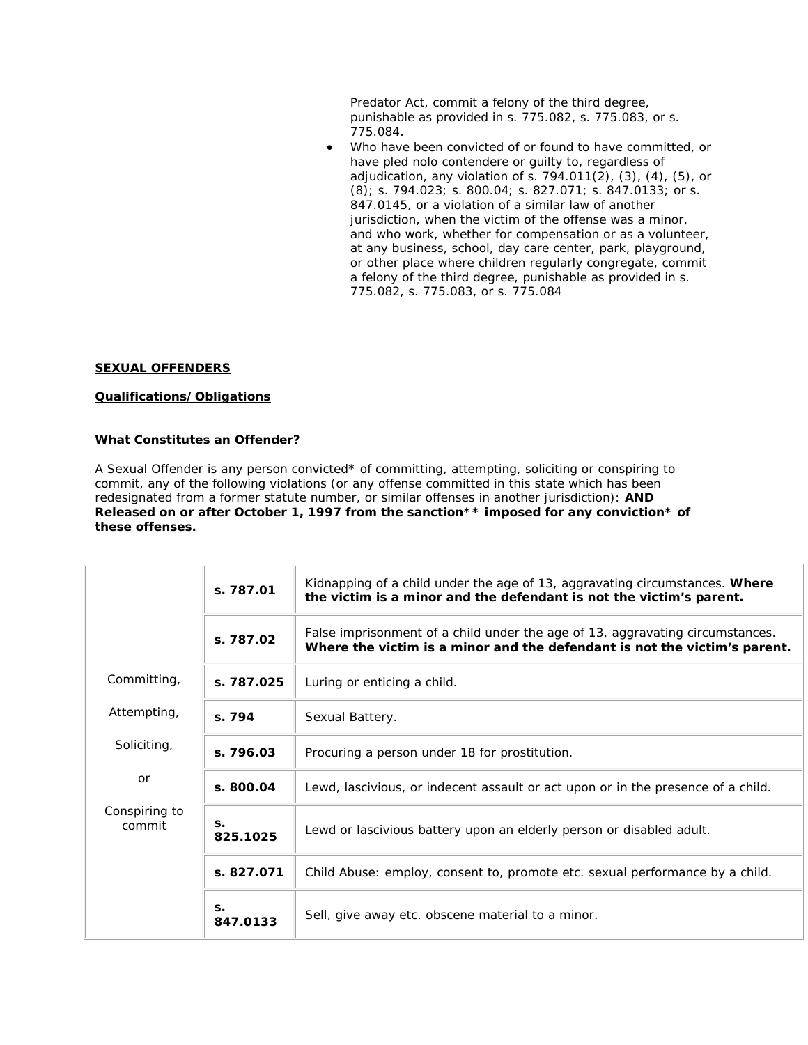Predator Act, commit a felony of the third degree, punishable as provided in s. 775.082, s. 775.083, or s. 775.084.

• Who have been convicted of or found to have committed, or have pled nolo contendere or guilty to, regardless of adjudication, any violation of s.  $794.011(2)$ ,  $(3)$ ,  $(4)$ ,  $(5)$ , or (8); s. 794.023; s. 800.04; s. 827.071; s. 847.0133; or s. 847.0145, or a violation of a similar law of another jurisdiction, when the victim of the offense was a minor, and who work, whether for compensation or as a volunteer, at any business, school, day care center, park, playground, or other place where children regularly congregate, commit a felony of the third degree, punishable as provided in s. 775.082, s. 775.083, or s. 775.084

## **SEXUAL OFFENDERS**

## **Qualifications/Obligations**

## **What Constitutes an Offender?**

A Sexual Offender is any person convicted\* of committing, attempting, soliciting or conspiring to commit, any of the following violations (or any offense committed in this state which has been redesignated from a former statute number, or similar offenses in another jurisdiction): **AND Released on or after October 1, 1997 from the sanction\*\* imposed for any conviction\* of these offenses.**

|                         | s. 787.01      | Kidnapping of a child under the age of 13, aggravating circumstances. Where<br>the victim is a minor and the defendant is not the victim's parent.         |
|-------------------------|----------------|------------------------------------------------------------------------------------------------------------------------------------------------------------|
|                         | s. 787.02      | False imprisonment of a child under the age of 13, aggravating circumstances.<br>Where the victim is a minor and the defendant is not the victim's parent. |
| Committing,             | s. 787.025     | Luring or enticing a child.                                                                                                                                |
| Attempting,             | s. 794         | Sexual Battery.                                                                                                                                            |
| Soliciting,             | s. 796.03      | Procuring a person under 18 for prostitution.                                                                                                              |
| or                      | s. 800.04      | Lewd, lascivious, or indecent assault or act upon or in the presence of a child.                                                                           |
| Conspiring to<br>commit | S.<br>825.1025 | Lewd or lascivious battery upon an elderly person or disabled adult.                                                                                       |
|                         | s. 827.071     | Child Abuse: employ, consent to, promote etc. sexual performance by a child.                                                                               |
|                         | S.<br>847.0133 | Sell, give away etc. obscene material to a minor.                                                                                                          |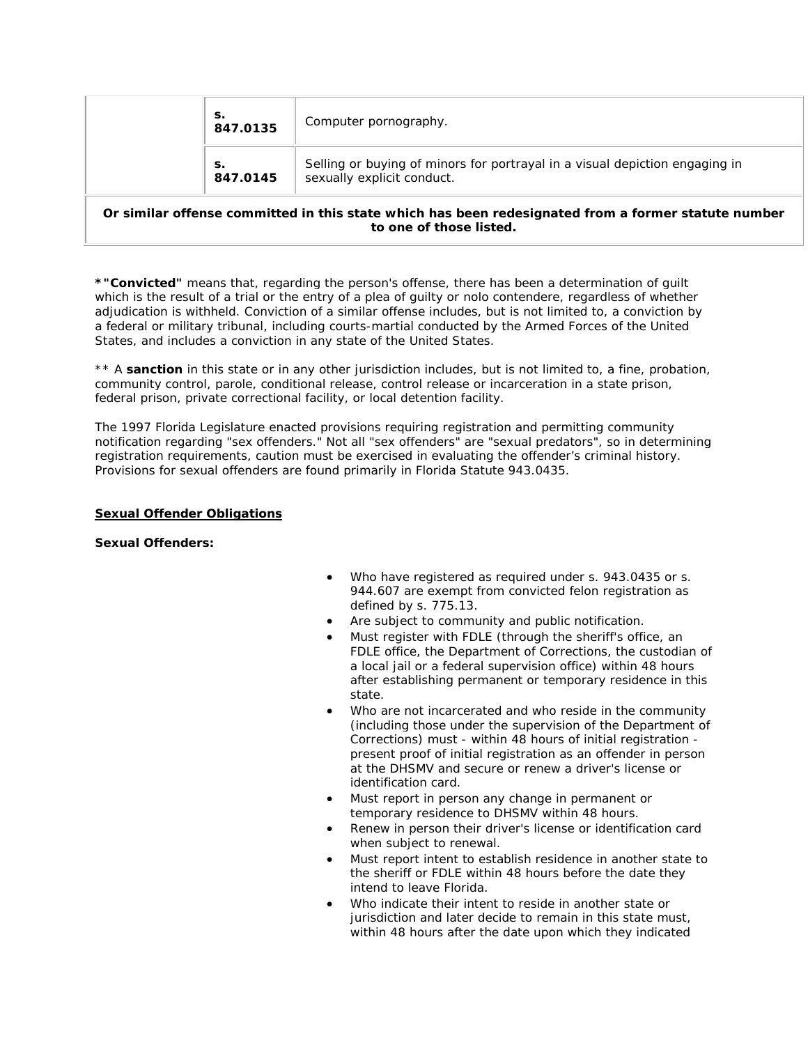|  | s.<br>847.0135 | Computer pornography.                                                                                     |
|--|----------------|-----------------------------------------------------------------------------------------------------------|
|  | s.<br>847.0145 | Selling or buying of minors for portrayal in a visual depiction engaging in<br>sexually explicit conduct. |
|  |                |                                                                                                           |

## **Or similar offense committed in this state which has been redesignated from a former statute number to one of those listed.**

*\*"Convicted"* means that, regarding the person's offense, there has been a determination of guilt which is the result of a trial or the entry of a plea of guilty or nolo contendere, regardless of whether adjudication is withheld. Conviction of a similar offense includes, but is not limited to, a conviction by a federal or military tribunal, including courts-martial conducted by the Armed Forces of the United States, and includes a conviction in any state of the United States.

\*\* A *sanction* in this state or in any other jurisdiction includes, but is not limited to, a fine, probation, community control, parole, conditional release, control release or incarceration in a state prison, federal prison, private correctional facility, or local detention facility.

The 1997 Florida Legislature enacted provisions requiring registration and permitting community notification regarding "sex offenders." Not all "sex offenders" are "sexual predators", so in determining registration requirements, caution must be exercised in evaluating the offender's criminal history. Provisions for sexual offenders are found primarily in Florida Statute 943.0435.

#### **Sexual Offender Obligations**

#### **Sexual Offenders:**

- Who have registered as required under s. 943.0435 or s. 944.607 are exempt from convicted felon registration as defined by s. 775.13.
- Are subject to community and public notification.
- Must register with FDLE (through the sheriff's office, an FDLE office, the Department of Corrections, the custodian of a local jail or a federal supervision office) within 48 hours after establishing permanent or temporary residence in this state.
- Who are not incarcerated and who reside in the community (including those under the supervision of the Department of Corrections) must - within 48 hours of initial registration present proof of initial registration as an offender in person at the DHSMV and secure or renew a driver's license or identification card.
- Must report in person any change in permanent or temporary residence to DHSMV within 48 hours.
- Renew in person their driver's license or identification card when subject to renewal.
- Must report intent to establish residence in another state to the sheriff or FDLE within 48 hours before the date they intend to leave Florida.
- Who indicate their intent to reside in another state or jurisdiction and later decide to remain in this state must, within 48 hours after the date upon which they indicated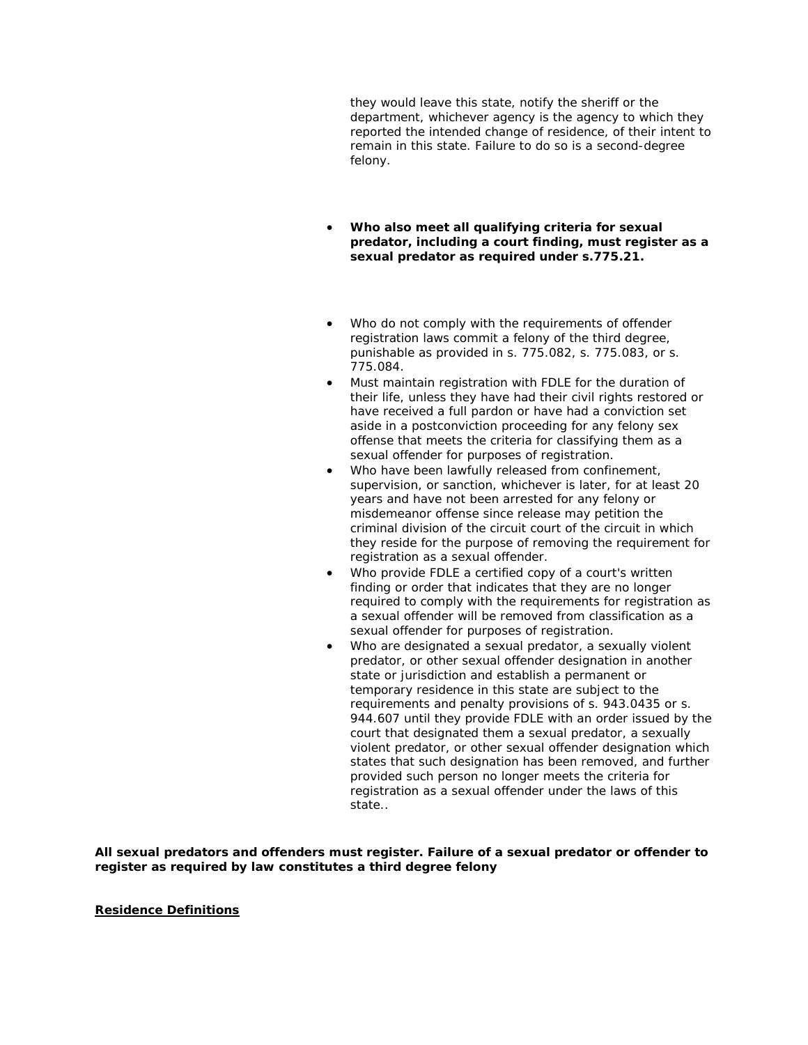they would leave this state, notify the sheriff or the department, whichever agency is the agency to which they reported the intended change of residence, of their intent to remain in this state. Failure to do so is a second-degree felony.

- **Who also meet all qualifying criteria for sexual predator, including a court finding, must register as a sexual predator as required under s.775.21.**
- Who do not comply with the requirements of offender registration laws commit a felony of the third degree, punishable as provided in s. 775.082, s. 775.083, or s. 775.084.
- Must maintain registration with FDLE for the duration of their life, unless they have had their civil rights restored or have received a full pardon or have had a conviction set aside in a postconviction proceeding for any felony sex offense that meets the criteria for classifying them as a sexual offender for purposes of registration.
- Who have been lawfully released from confinement, supervision, or sanction, whichever is later, for at least 20 years and have not been arrested for any felony or misdemeanor offense since release may petition the criminal division of the circuit court of the circuit in which they reside for the purpose of removing the requirement for registration as a sexual offender.
- Who provide FDLE a certified copy of a court's written finding or order that indicates that they are no longer required to comply with the requirements for registration as a sexual offender will be removed from classification as a sexual offender for purposes of registration.
- Who are designated a sexual predator, a sexually violent predator, or other sexual offender designation in another state or jurisdiction and establish a permanent or temporary residence in this state are subject to the requirements and penalty provisions of s. 943.0435 or s. 944.607 until they provide FDLE with an order issued by the court that designated them a sexual predator, a sexually violent predator, or other sexual offender designation which states that such designation has been removed, and further provided such person no longer meets the criteria for registration as a sexual offender under the laws of this state..

**All sexual predators and offenders must register. Failure of a sexual predator or offender to register as required by law constitutes a third degree felony**

#### **Residence Definitions**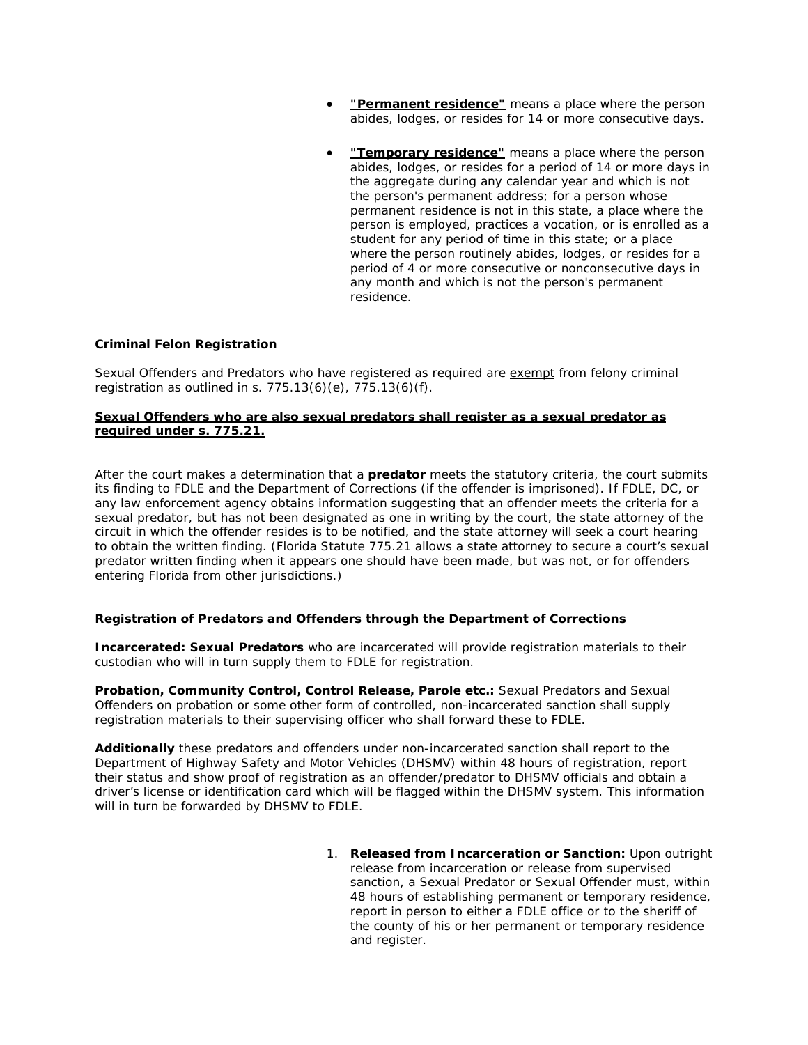- **"Permanent residence"** means a place where the person abides, lodges, or resides for 14 or more consecutive days.
- **"Temporary residence"** means a place where the person abides, lodges, or resides for a period of 14 or more days in the aggregate during any calendar year and which is not the person's permanent address; for a person whose permanent residence is not in this state, a place where the person is employed, practices a vocation, or is enrolled as a student for any period of time in this state; or a place where the person routinely abides, lodges, or resides for a period of 4 or more consecutive or nonconsecutive days in any month and which is not the person's permanent residence.

# **Criminal Felon Registration**

Sexual Offenders and Predators who have registered as required are exempt from felony criminal registration as outlined in s. 775.13(6)(e), 775.13(6)(f).

## **Sexual Offenders who are also sexual predators shall register as a sexual predator as required under s. 775.21.**

After the court makes a determination that a **predator** meets the statutory criteria, the court submits its finding to FDLE and the Department of Corrections (if the offender is imprisoned). If FDLE, DC, or any law enforcement agency obtains information suggesting that an offender meets the criteria for a sexual predator, but has not been designated as one in writing by the court, the state attorney of the circuit in which the offender resides is to be notified, and the state attorney will seek a court hearing to obtain the written finding. (Florida Statute 775.21 allows a state attorney to secure a court's sexual predator written finding when it appears one should have been made, but was not, or for offenders entering Florida from other jurisdictions.)

## **Registration of Predators and Offenders through the Department of Corrections**

**Incarcerated: Sexual Predators** who are incarcerated will provide registration materials to their custodian who will in turn supply them to FDLE for registration.

**Probation, Community Control, Control Release, Parole etc.:** Sexual Predators and Sexual Offenders on probation or some other form of controlled, non-incarcerated sanction shall supply registration materials to their supervising officer who shall forward these to FDLE.

**Additionally** these predators and offenders under non-incarcerated sanction shall report to the Department of Highway Safety and Motor Vehicles (DHSMV) within 48 hours of registration, report their status and show proof of registration as an offender/predator to DHSMV officials and obtain a driver's license or identification card which will be flagged within the DHSMV system. This information will in turn be forwarded by DHSMV to FDLE.

> 1. **Released from Incarceration or Sanction:** Upon outright release from incarceration or release from supervised sanction, a Sexual Predator or Sexual Offender must, within 48 hours of establishing permanent or temporary residence, report in person to either a FDLE office or to the sheriff of the county of his or her permanent or temporary residence and register.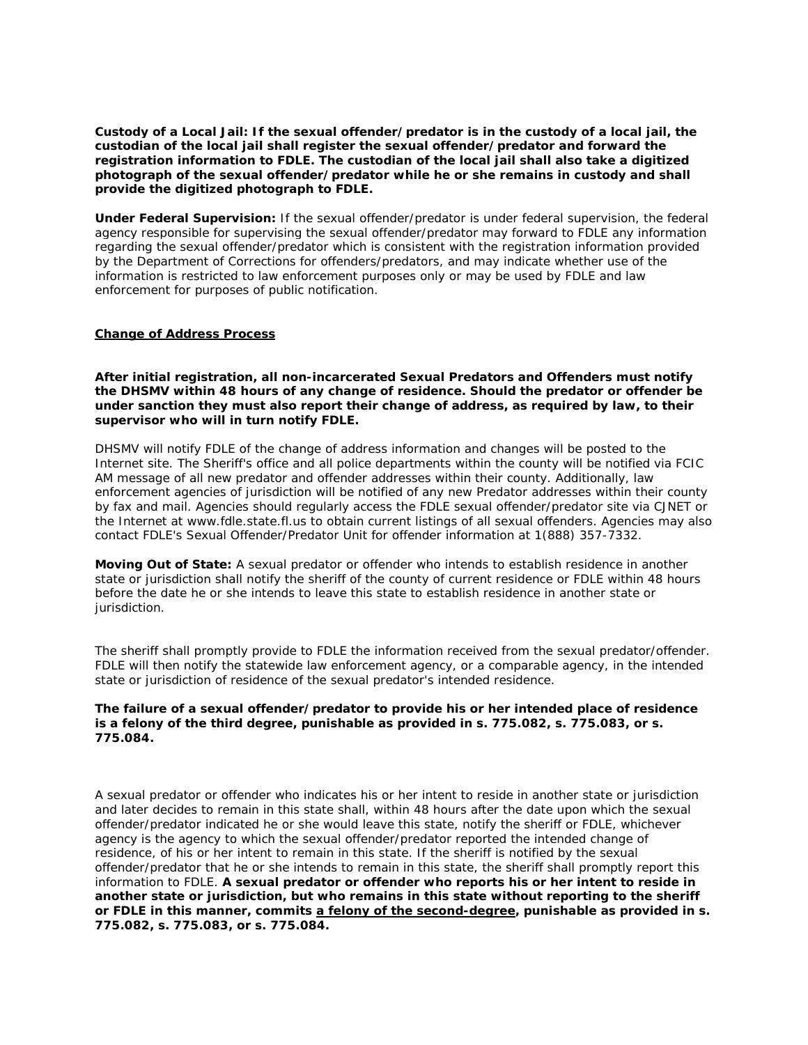**Custody of a Local Jail: If the sexual offender/predator is in the custody of a local jail, the custodian of the local jail shall register the sexual offender/predator and forward the registration information to FDLE. The custodian of the local jail shall also take a digitized photograph of the sexual offender/predator while he or she remains in custody and shall provide the digitized photograph to FDLE.**

**Under Federal Supervision:** If the sexual offender/predator is under federal supervision, the federal agency responsible for supervising the sexual offender/predator may forward to FDLE any information regarding the sexual offender/predator which is consistent with the registration information provided by the Department of Corrections for offenders/predators, and may indicate whether use of the information is restricted to law enforcement purposes only or may be used by FDLE and law enforcement for purposes of public notification.

#### **Change of Address Process**

**After initial registration, all non-incarcerated Sexual Predators and Offenders must notify the DHSMV within 48 hours of any change of residence. Should the predator or offender be under sanction they must also report their change of address, as required by law, to their supervisor who will in turn notify FDLE.**

DHSMV will notify FDLE of the change of address information and changes will be posted to the Internet site. The Sheriff's office and all police departments within the county will be notified via FCIC AM message of all new predator and offender addresses within their county. Additionally, law enforcement agencies of jurisdiction will be notified of any new Predator addresses within their county by fax and mail. Agencies should regularly access the FDLE sexual offender/predator site via CJNET or the Internet at www.fdle.state.fl.us to obtain current listings of all sexual offenders. Agencies may also contact FDLE's Sexual Offender/Predator Unit for offender information at 1(888) 357-7332.

**Moving Out of State:** A sexual predator or offender who intends to establish residence in another state or jurisdiction shall notify the sheriff of the county of current residence or FDLE within 48 hours before the date he or she intends to leave this state to establish residence in another state or jurisdiction.

The sheriff shall *promptly* provide to FDLE the information received from the sexual predator/offender. FDLE will then notify the statewide law enforcement agency, or a comparable agency, in the intended state or jurisdiction of residence of the sexual predator's intended residence.

#### **The failure of a sexual offender/predator to provide his or her intended place of residence is a felony of the third degree, punishable as provided in s. 775.082, s. 775.083, or s. 775.084.**

A sexual predator or offender who indicates his or her intent to reside in another state or jurisdiction and later decides to remain in this state shall, within 48 hours after the date upon which the sexual offender/predator indicated he or she would leave this state, notify the sheriff or FDLE, whichever agency is the agency to which the sexual offender/predator reported the intended change of residence, of his or her intent to remain in this state. If the sheriff is notified by the sexual offender/predator that he or she intends to remain in this state, the sheriff shall promptly report this information to FDLE. **A sexual predator or offender who reports his or her intent to reside in another state or jurisdiction, but who remains in this state without reporting to the sheriff or FDLE in this manner, commits a felony of the second-degree, punishable as provided in s. 775.082, s. 775.083, or s. 775.084.**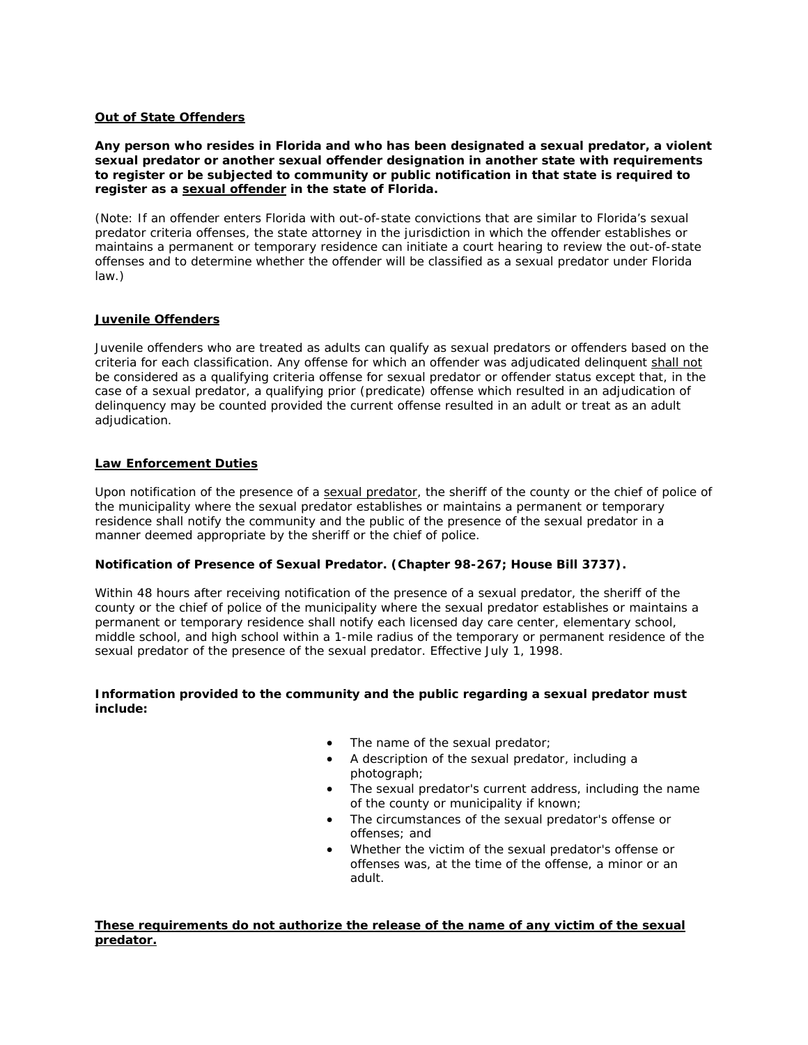## **Out of State Offenders**

**Any person who resides in Florida and who has been designated a sexual predator, a violent sexual predator or another sexual offender designation in another state with requirements to register or be subjected to community or public notification in that state is required to register as a sexual offender in the state of Florida.**

(Note: If an offender enters Florida with out-of-state convictions that are similar to Florida's sexual predator criteria offenses, the state attorney in the jurisdiction in which the offender establishes or maintains a permanent or temporary residence can initiate a court hearing to review the out-of-state offenses and to determine whether the offender will be classified as a sexual predator under Florida law.)

## **Juvenile Offenders**

Juvenile offenders who are treated as adults can qualify as sexual predators or offenders based on the criteria for each classification. Any offense for which an offender was adjudicated delinquent *shall not* be considered as a qualifying criteria offense for sexual predator or offender status except that, in the case of a sexual predator, a qualifying prior (predicate) offense which resulted in an adjudication of delinquency may be counted provided the current offense resulted in an adult or treat as an adult adjudication.

## **Law Enforcement Duties**

Upon notification of the presence of a *sexual predator*, the sheriff of the county or the chief of police of the municipality where the sexual predator establishes or maintains a permanent or temporary residence shall notify the community and the public of the presence of the sexual predator in a manner deemed appropriate by the sheriff or the chief of police.

## **Notification of Presence of Sexual Predator. (Chapter 98-267; House Bill 3737).**

Within 48 hours after receiving notification of the presence of a sexual predator, the sheriff of the county or the chief of police of the municipality where the sexual predator establishes or maintains a permanent or temporary residence shall notify each licensed day care center, elementary school, middle school, and high school within a 1-mile radius of the temporary or permanent residence of the sexual predator of the presence of the sexual predator. Effective July 1, 1998.

## **Information provided to the community and the public regarding a sexual predator must include:**

- The name of the sexual predator;
- A description of the sexual predator, including a photograph;
- The sexual predator's current address, including the name of the county or municipality if known;
- The circumstances of the sexual predator's offense or offenses; and
- Whether the victim of the sexual predator's offense or offenses was, at the time of the offense, a minor or an adult.

**These requirements do not authorize the release of the name of any victim of the sexual predator.**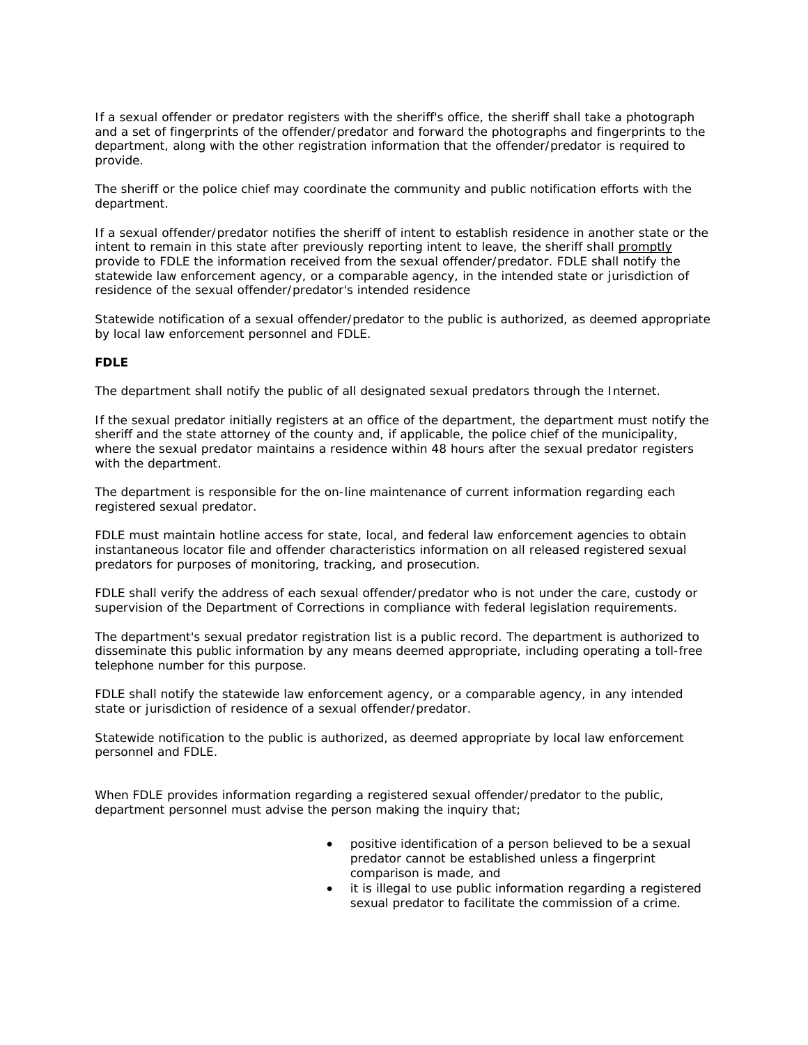If a sexual offender or predator registers with the sheriff's office, the sheriff shall take a photograph and a set of fingerprints of the offender/predator and forward the photographs and fingerprints to the department, along with the other registration information that the offender/predator is required to provide.

The sheriff or the police chief may coordinate the community and public notification efforts with the department.

If a sexual offender/predator notifies the sheriff of intent to establish residence in another state or the intent to remain in this state after previously reporting intent to leave, the sheriff shall *promptly* provide to FDLE the information received from the sexual offender/predator. FDLE shall notify the statewide law enforcement agency, or a comparable agency, in the intended state or jurisdiction of residence of the sexual offender/predator's intended residence

Statewide notification of a sexual offender/predator to the public is authorized, as deemed appropriate by local law enforcement personnel and FDLE.

## **FDLE**

The department shall notify the public of all designated sexual predators through the Internet.

If the sexual predator initially registers at an office of the department, the department must notify the sheriff and the state attorney of the county and, if applicable, the police chief of the municipality, where the sexual predator maintains a residence within 48 hours after the sexual predator registers with the department.

The department is responsible for the on-line maintenance of current information regarding each registered sexual predator.

FDLE must maintain hotline access for state, local, and federal law enforcement agencies to obtain instantaneous locator file and offender characteristics information on all released registered sexual predators for purposes of monitoring, tracking, and prosecution.

FDLE shall verify the address of each sexual offender/predator who is not under the care, custody or supervision of the Department of Corrections in compliance with federal legislation requirements.

The department's sexual predator registration list is a public record. The department is authorized to disseminate this public information by any means deemed appropriate, including operating a toll-free telephone number for this purpose.

FDLE shall notify the statewide law enforcement agency, or a comparable agency, in any intended state or jurisdiction of residence of a sexual offender/predator.

Statewide notification to the public is authorized, as deemed appropriate by local law enforcement personnel and FDLE.

When FDLE provides information regarding a registered sexual offender/predator to the public, department personnel must advise the person making the inquiry that;

- positive identification of a person believed to be a sexual predator cannot be established unless a fingerprint comparison is made, and
- it is illegal to use public information regarding a registered sexual predator to facilitate the commission of a crime.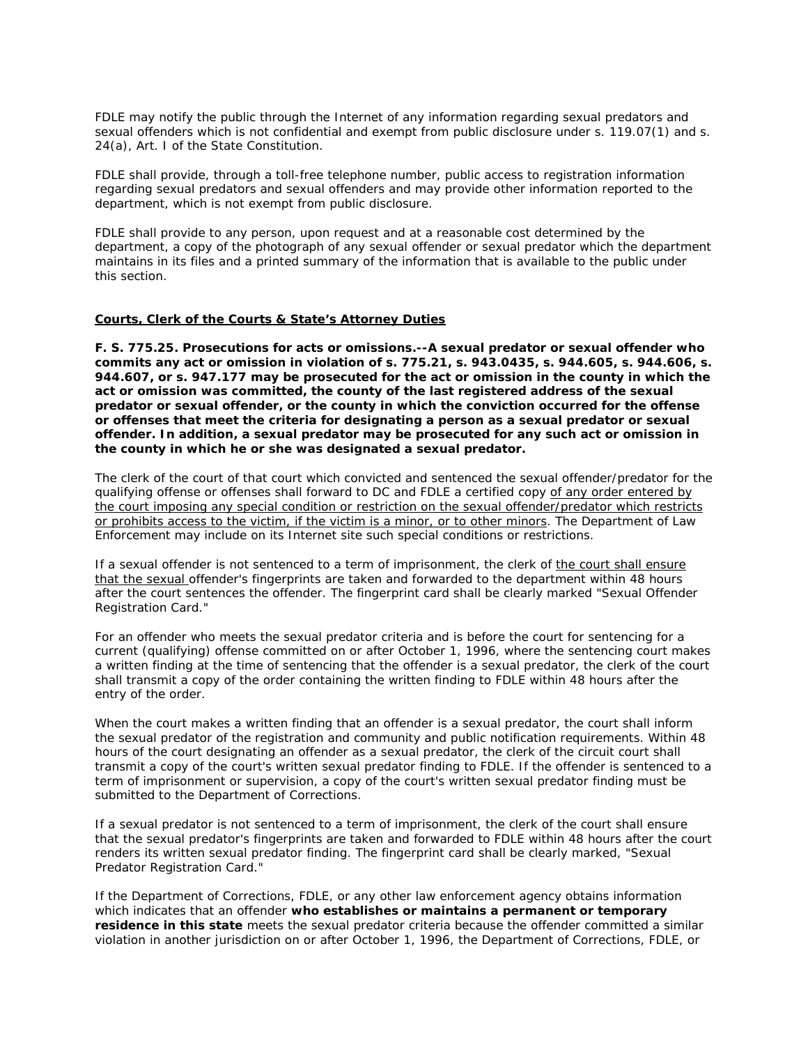FDLE may notify the public through the Internet of any information regarding sexual predators and sexual offenders which is not confidential and exempt from public disclosure under s. 119.07(1) and s. 24(a), Art. I of the State Constitution.

FDLE shall provide, through a toll-free telephone number, public access to registration information regarding sexual predators and sexual offenders and may provide other information reported to the department, which is not exempt from public disclosure.

FDLE shall provide to any person, upon request and at a reasonable cost determined by the department, a copy of the photograph of any sexual offender or sexual predator which the department maintains in its files and a printed summary of the information that is available to the public under this section.

#### **Courts, Clerk of the Courts & State's Attorney Duties**

**F. S. 775.25. Prosecutions for acts or omissions.--A sexual predator or sexual offender who commits any act or omission in violation of s. 775.21, s. 943.0435, s. 944.605, s. 944.606, s. 944.607, or s. 947.177 may be prosecuted for the act or omission in the county in which the act or omission was committed, the county of the last registered address of the sexual predator or sexual offender, or the county in which the conviction occurred for the offense or offenses that meet the criteria for designating a person as a sexual predator or sexual offender. In addition, a sexual predator may be prosecuted for any such act or omission in the county in which he or she was designated a sexual predator.**

The clerk of the court of that court which convicted and sentenced the sexual offender/predator for the qualifying offense or offenses shall forward to DC and FDLE a certified copy *of any order entered by the court imposing any special condition or restriction on the sexual offender/predator which restricts or prohibits access to the victim, if the victim is a minor, or to other minors*. The Department of Law Enforcement may include on its Internet site such special conditions or restrictions.

If a sexual offender is not sentenced to a term of imprisonment, the clerk of *the court shall ensure that the sexual* offender's fingerprints are taken and forwarded to the department within 48 hours after the court sentences the offender. The fingerprint card shall be clearly marked "Sexual Offender Registration Card."

For an offender who meets the sexual predator criteria and is before the court for sentencing for a current (qualifying) offense committed on or after October 1, 1996, where the sentencing court makes a written finding at the time of sentencing that the offender is a sexual predator, the clerk of the court shall transmit a copy of the order containing the written finding to FDLE within 48 hours after the entry of the order.

When the court makes a written finding that an offender is a sexual predator, the court shall inform the sexual predator of the registration and community and public notification requirements. Within 48 hours of the court designating an offender as a sexual predator, the clerk of the circuit court shall transmit a copy of the court's written sexual predator finding to FDLE. If the offender is sentenced to a term of imprisonment or supervision, a copy of the court's written sexual predator finding must be submitted to the Department of Corrections.

If a sexual predator is not sentenced to a term of imprisonment, the clerk of the court shall ensure that the sexual predator's fingerprints are taken and forwarded to FDLE within 48 hours after the court renders its written sexual predator finding. The fingerprint card shall be clearly marked, "Sexual Predator Registration Card."

If the Department of Corrections, FDLE, or any other law enforcement agency obtains information which indicates that an offender **who establishes or maintains a permanent or temporary residence in this state** meets the sexual predator criteria because the offender committed a similar violation in another jurisdiction on or after October 1, 1996, the Department of Corrections, FDLE, or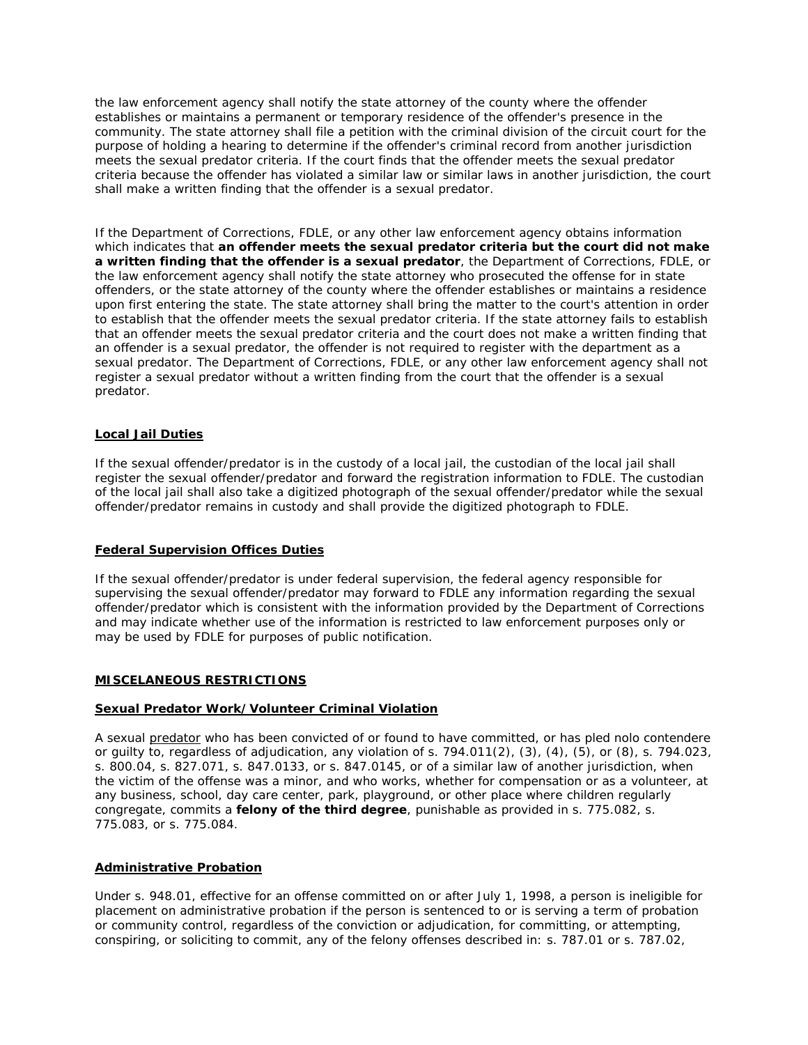the law enforcement agency shall notify the state attorney of the county where the offender establishes or maintains a permanent or temporary residence of the offender's presence in the community. The state attorney shall file a petition with the criminal division of the circuit court for the purpose of holding a hearing to determine if the offender's criminal record from another jurisdiction meets the sexual predator criteria. If the court finds that the offender meets the sexual predator criteria because the offender has violated a similar law or similar laws in another jurisdiction, the court shall make a written finding that the offender is a sexual predator.

If the Department of Corrections, FDLE, or any other law enforcement agency obtains information which indicates that **an offender meets the sexual predator criteria but the court did not make a written finding that the offender is a sexual predator**, the Department of Corrections, FDLE, or the law enforcement agency shall notify the state attorney who prosecuted the offense for in state offenders, or the state attorney of the county where the offender establishes or maintains a residence upon first entering the state. The state attorney shall bring the matter to the court's attention in order to establish that the offender meets the sexual predator criteria. If the state attorney fails to establish that an offender meets the sexual predator criteria and the court does not make a written finding that an offender is a sexual predator, the offender is not required to register with the department as a sexual predator. The Department of Corrections, FDLE, or any other law enforcement agency shall not register a sexual predator without a written finding from the court that the offender is a sexual predator.

## **Local Jail Duties**

If the sexual offender/predator is in the custody of a local jail, the custodian of the local jail shall register the sexual offender/predator and forward the registration information to FDLE. The custodian of the local jail shall also take a digitized photograph of the sexual offender/predator while the sexual offender/predator remains in custody and shall provide the digitized photograph to FDLE.

#### **Federal Supervision Offices Duties**

If the sexual offender/predator is under federal supervision, the federal agency responsible for supervising the sexual offender/predator may forward to FDLE any information regarding the sexual offender/predator which is consistent with the information provided by the Department of Corrections and may indicate whether use of the information is restricted to law enforcement purposes only or may be used by FDLE for purposes of public notification.

#### **MISCELANEOUS RESTRICTIONS**

#### **Sexual Predator Work/Volunteer Criminal Violation**

A sexual *predator* who has been convicted of or found to have committed, or has pled nolo contendere or guilty to, regardless of adjudication, any violation of s. 794.011(2), (3), (4), (5), or (8), s. 794.023, s. 800.04, s. 827.071, s. 847.0133, or s. 847.0145, or of a similar law of another jurisdiction, when the victim of the offense was a minor, and who works, whether for compensation or as a volunteer, at any business, school, day care center, park, playground, or other place where children regularly congregate, commits a **felony of the third degree**, punishable as provided in s. 775.082, s. 775.083, or s. 775.084.

#### **Administrative Probation**

Under s. 948.01, effective for an offense committed on or after July 1, 1998, a person is ineligible for placement on administrative probation if the person is sentenced to or is serving a term of probation or community control, regardless of the conviction or adjudication, for committing, or attempting, conspiring, or soliciting to commit, any of the felony offenses described in: s. 787.01 or s. 787.02,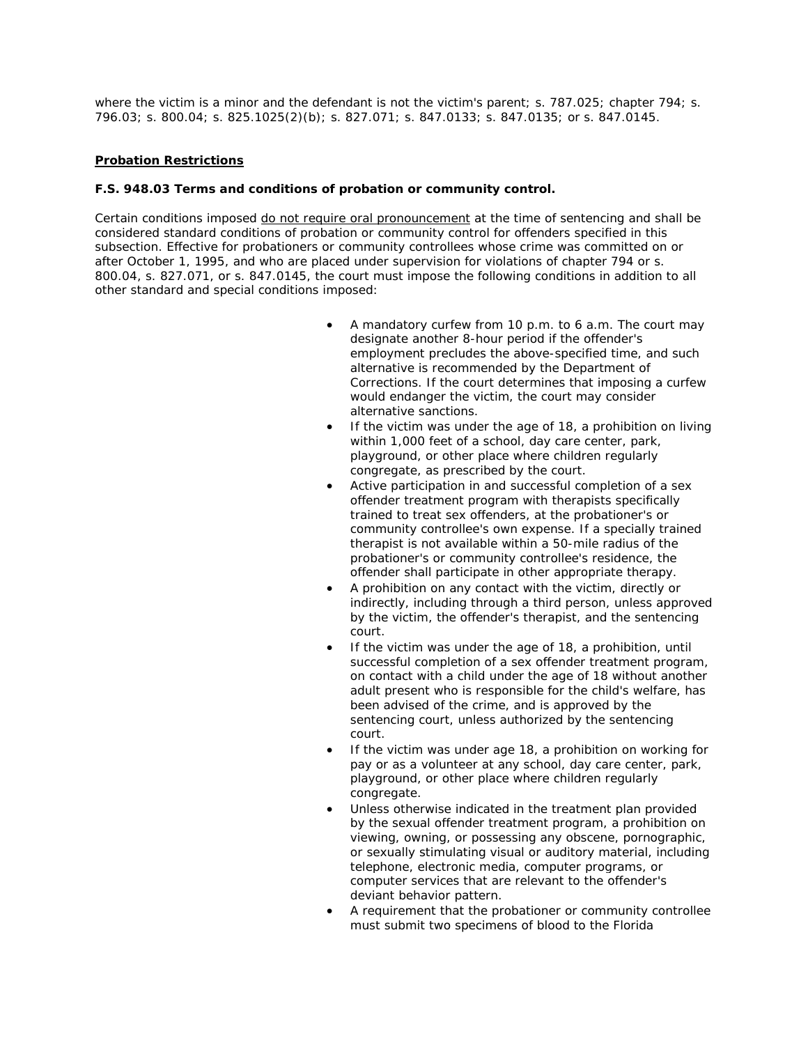where the victim is a minor and the defendant is not the victim's parent; s. 787.025; chapter 794; s. 796.03; s. 800.04; s. 825.1025(2)(b); s. 827.071; s. 847.0133; s. 847.0135; or s. 847.0145.

# **Probation Restrictions**

## **F.S. 948.03 Terms and conditions of probation or community control.**

Certain conditions imposed *do not require oral pronouncement* at the time of sentencing and shall be considered standard conditions of probation or community control for offenders specified in this subsection. Effective for probationers or community controllees whose crime was committed on or after October 1, 1995, and who are placed under supervision for violations of chapter 794 or s. 800.04, s. 827.071, or s. 847.0145, the court must impose the following conditions in addition to all other standard and special conditions imposed:

- A mandatory curfew from 10 p.m. to 6 a.m. The court may designate another 8-hour period if the offender's employment precludes the above-specified time, and such alternative is recommended by the Department of Corrections. If the court determines that imposing a curfew would endanger the victim, the court may consider alternative sanctions.
- If the victim was under the age of 18, a prohibition on living within 1,000 feet of a school, day care center, park, playground, or other place where children regularly congregate, as prescribed by the court.
- Active participation in and successful completion of a sex offender treatment program with therapists specifically trained to treat sex offenders, at the probationer's or community controllee's own expense. If a specially trained therapist is not available within a 50-mile radius of the probationer's or community controllee's residence, the offender shall participate in other appropriate therapy.
- A prohibition on any contact with the victim, directly or indirectly, including through a third person, unless approved by the victim, the offender's therapist, and the sentencing court.
- If the victim was under the age of 18, a prohibition, until successful completion of a sex offender treatment program, on contact with a child under the age of 18 without another adult present who is responsible for the child's welfare, has been advised of the crime, and is approved by the sentencing court, unless authorized by the sentencing court.
- If the victim was under age 18, a prohibition on working for pay or as a volunteer at any school, day care center, park, playground, or other place where children regularly congregate.
- Unless otherwise indicated in the treatment plan provided by the sexual offender treatment program, a prohibition on viewing, owning, or possessing any obscene, pornographic, or sexually stimulating visual or auditory material, including telephone, electronic media, computer programs, or computer services that are relevant to the offender's deviant behavior pattern.
- A requirement that the probationer or community controllee must submit two specimens of blood to the Florida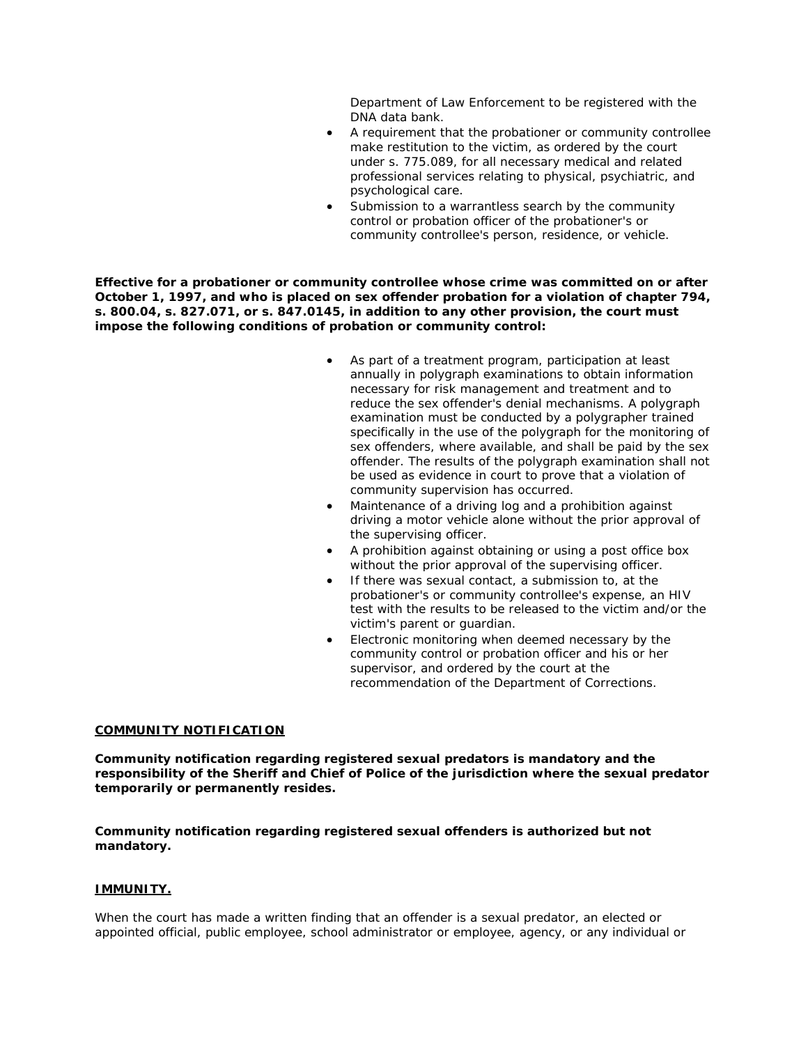Department of Law Enforcement to be registered with the DNA data bank.

- A requirement that the probationer or community controllee make restitution to the victim, as ordered by the court under s. 775.089, for all necessary medical and related professional services relating to physical, psychiatric, and psychological care.
- Submission to a warrantless search by the community control or probation officer of the probationer's or community controllee's person, residence, or vehicle.

**Effective for a probationer or community controllee whose crime was committed on or after October 1, 1997, and who is placed on sex offender probation for a violation of chapter 794, s. 800.04, s. 827.071, or s. 847.0145, in addition to any other provision, the court must impose the following conditions of probation or community control:** 

- As part of a treatment program, participation at least annually in polygraph examinations to obtain information necessary for risk management and treatment and to reduce the sex offender's denial mechanisms. A polygraph examination must be conducted by a polygrapher trained specifically in the use of the polygraph for the monitoring of sex offenders, where available, and shall be paid by the sex offender. The results of the polygraph examination shall not be used as evidence in court to prove that a violation of community supervision has occurred.
- Maintenance of a driving log and a prohibition against driving a motor vehicle alone without the prior approval of the supervising officer.
- A prohibition against obtaining or using a post office box without the prior approval of the supervising officer.
- If there was sexual contact, a submission to, at the probationer's or community controllee's expense, an HIV test with the results to be released to the victim and/or the victim's parent or guardian.
- Electronic monitoring when deemed necessary by the community control or probation officer and his or her supervisor, and ordered by the court at the recommendation of the Department of Corrections.

#### **COMMUNITY NOTIFICATION**

**Community notification regarding registered sexual predators is mandatory and the responsibility of the Sheriff and Chief of Police of the jurisdiction where the sexual predator temporarily or permanently resides.**

**Community notification regarding registered sexual offenders is authorized but not mandatory.**

#### **IMMUNITY.**

When the court has made a written finding that an offender is a sexual predator, an elected or appointed official, public employee, school administrator or employee, agency, or any individual or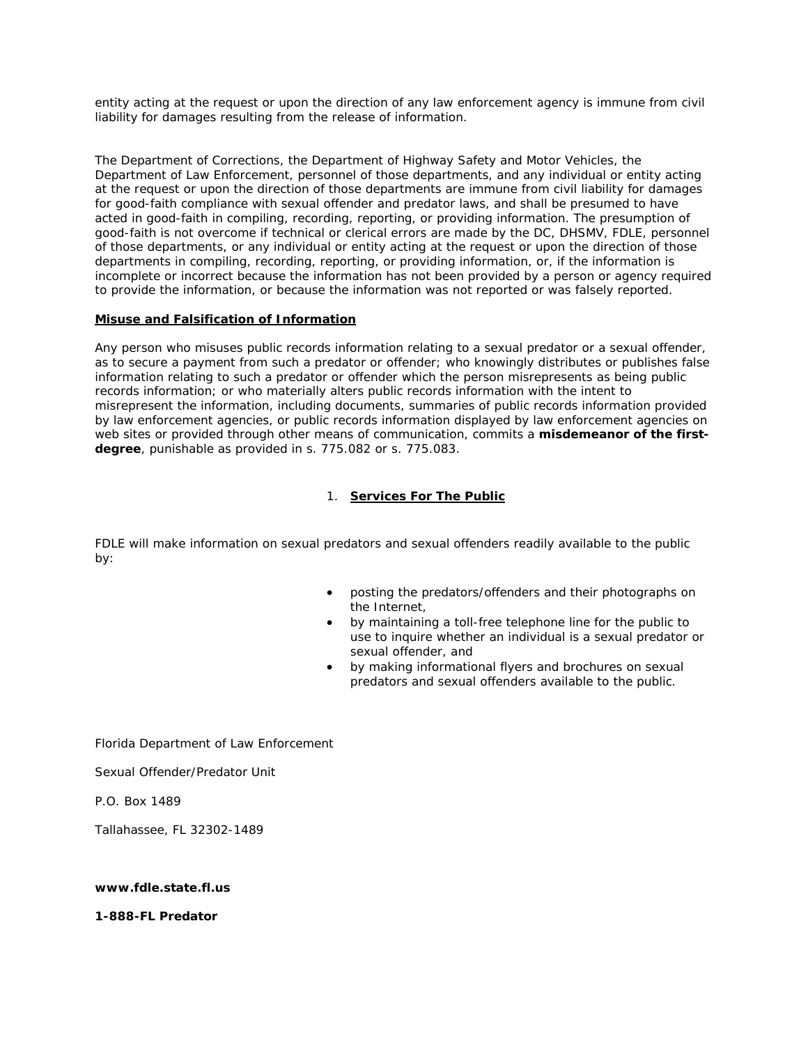entity acting at the request or upon the direction of any law enforcement agency is immune from civil liability for damages resulting from the release of information.

The Department of Corrections, the Department of Highway Safety and Motor Vehicles, the Department of Law Enforcement, personnel of those departments, and any individual or entity acting at the request or upon the direction of those departments are immune from civil liability for damages for good-faith compliance with sexual offender and predator laws, and shall be presumed to have acted in good-faith in compiling, recording, reporting, or providing information. The presumption of good-faith is not overcome if technical or clerical errors are made by the DC, DHSMV, FDLE, personnel of those departments, or any individual or entity acting at the request or upon the direction of those departments in compiling, recording, reporting, or providing information, or, if the information is incomplete or incorrect because the information has not been provided by a person or agency required to provide the information, or because the information was not reported or was falsely reported.

## **Misuse and Falsification of Information**

Any person who misuses public records information relating to a sexual predator or a sexual offender, as to secure a payment from such a predator or offender; who knowingly distributes or publishes false information relating to such a predator or offender which the person misrepresents as being public records information; or who materially alters public records information with the intent to misrepresent the information, including documents, summaries of public records information provided by law enforcement agencies, or public records information displayed by law enforcement agencies on web sites or provided through other means of communication, commits a **misdemeanor of the firstdegree**, punishable as provided in s. 775.082 or s. 775.083.

# 1. **Services For The Public**

FDLE will make information on sexual predators and sexual offenders readily available to the public by:

- posting the predators/offenders and their photographs on the Internet,
- by maintaining a toll-free telephone line for the public to use to inquire whether an individual is a sexual predator or sexual offender, and
- by making informational flyers and brochures on sexual predators and sexual offenders available to the public.

Florida Department of Law Enforcement

Sexual Offender/Predator Unit

P.O. Box 1489

Tallahassee, FL 32302-1489

#### **www.fdle.state.fl.us**

**1-888-FL Predator**